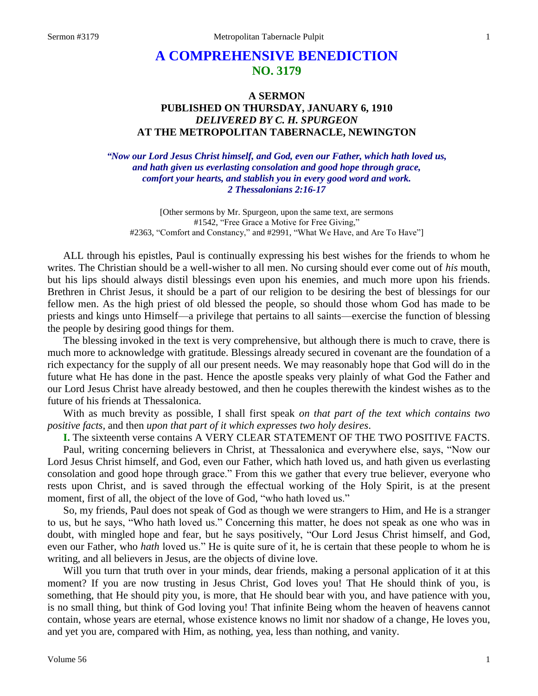# **A COMPREHENSIVE BENEDICTION NO. 3179**

# **A SERMON PUBLISHED ON THURSDAY, JANUARY 6, 1910** *DELIVERED BY C. H. SPURGEON* **AT THE METROPOLITAN TABERNACLE, NEWINGTON**

*"Now our Lord Jesus Christ himself, and God, even our Father, which hath loved us, and hath given us everlasting consolation and good hope through grace, comfort your hearts, and stablish you in every good word and work. 2 Thessalonians 2:16-17*

[Other sermons by Mr. Spurgeon, upon the same text, are sermons #1542, "Free Grace a Motive for Free Giving," #2363, "Comfort and Constancy," and #2991, "What We Have, and Are To Have"]

ALL through his epistles, Paul is continually expressing his best wishes for the friends to whom he writes. The Christian should be a well-wisher to all men. No cursing should ever come out of *his* mouth, but his lips should always distil blessings even upon his enemies, and much more upon his friends. Brethren in Christ Jesus, it should be a part of our religion to be desiring the best of blessings for our fellow men. As the high priest of old blessed the people, so should those whom God has made to be priests and kings unto Himself—a privilege that pertains to all saints—exercise the function of blessing the people by desiring good things for them.

The blessing invoked in the text is very comprehensive, but although there is much to crave, there is much more to acknowledge with gratitude. Blessings already secured in covenant are the foundation of a rich expectancy for the supply of all our present needs. We may reasonably hope that God will do in the future what He has done in the past. Hence the apostle speaks very plainly of what God the Father and our Lord Jesus Christ have already bestowed, and then he couples therewith the kindest wishes as to the future of his friends at Thessalonica.

With as much brevity as possible, I shall first speak *on that part of the text which contains two positive facts,* and then *upon that part of it which expresses two holy desires*.

**I.** The sixteenth verse contains A VERY CLEAR STATEMENT OF THE TWO POSITIVE FACTS.

Paul, writing concerning believers in Christ, at Thessalonica and everywhere else, says, "Now our Lord Jesus Christ himself, and God, even our Father, which hath loved us, and hath given us everlasting consolation and good hope through grace." From this we gather that every true believer, everyone who rests upon Christ, and is saved through the effectual working of the Holy Spirit, is at the present moment, first of all, the object of the love of God, "who hath loved us."

So, my friends, Paul does not speak of God as though we were strangers to Him, and He is a stranger to us, but he says, "Who hath loved us." Concerning this matter, he does not speak as one who was in doubt, with mingled hope and fear, but he says positively, "Our Lord Jesus Christ himself, and God, even our Father, who *hath* loved us." He is quite sure of it, he is certain that these people to whom he is writing, and all believers in Jesus, are the objects of divine love.

Will you turn that truth over in your minds, dear friends, making a personal application of it at this moment? If you are now trusting in Jesus Christ, God loves you! That He should think of you, is something, that He should pity you, is more, that He should bear with you, and have patience with you, is no small thing, but think of God loving you! That infinite Being whom the heaven of heavens cannot contain, whose years are eternal, whose existence knows no limit nor shadow of a change, He loves you, and yet you are, compared with Him, as nothing, yea, less than nothing, and vanity.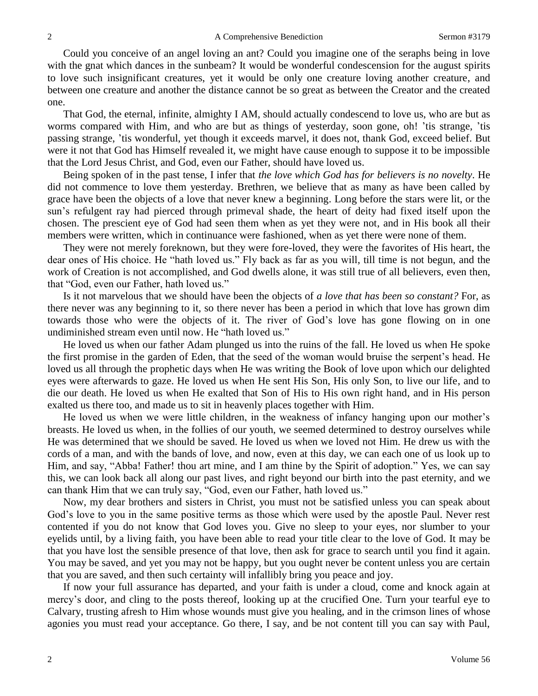Could you conceive of an angel loving an ant? Could you imagine one of the seraphs being in love with the gnat which dances in the sunbeam? It would be wonderful condescension for the august spirits to love such insignificant creatures, yet it would be only one creature loving another creature, and between one creature and another the distance cannot be so great as between the Creator and the created one.

That God, the eternal, infinite, almighty I AM, should actually condescend to love us, who are but as worms compared with Him, and who are but as things of yesterday, soon gone, oh! 'tis strange, 'tis passing strange, 'tis wonderful, yet though it exceeds marvel, it does not, thank God, exceed belief. But were it not that God has Himself revealed it, we might have cause enough to suppose it to be impossible that the Lord Jesus Christ, and God, even our Father, should have loved us.

Being spoken of in the past tense, I infer that *the love which God has for believers is no novelty*. He did not commence to love them yesterday. Brethren, we believe that as many as have been called by grace have been the objects of a love that never knew a beginning. Long before the stars were lit, or the sun's refulgent ray had pierced through primeval shade, the heart of deity had fixed itself upon the chosen. The prescient eye of God had seen them when as yet they were not, and in His book all their members were written, which in continuance were fashioned, when as yet there were none of them.

They were not merely foreknown, but they were fore-loved, they were the favorites of His heart, the dear ones of His choice. He "hath loved us." Fly back as far as you will, till time is not begun, and the work of Creation is not accomplished, and God dwells alone, it was still true of all believers, even then, that "God, even our Father, hath loved us."

Is it not marvelous that we should have been the objects of *a love that has been so constant?* For, as there never was any beginning to it, so there never has been a period in which that love has grown dim towards those who were the objects of it. The river of God's love has gone flowing on in one undiminished stream even until now. He "hath loved us."

He loved us when our father Adam plunged us into the ruins of the fall. He loved us when He spoke the first promise in the garden of Eden, that the seed of the woman would bruise the serpent's head. He loved us all through the prophetic days when He was writing the Book of love upon which our delighted eyes were afterwards to gaze. He loved us when He sent His Son, His only Son, to live our life, and to die our death. He loved us when He exalted that Son of His to His own right hand, and in His person exalted us there too, and made us to sit in heavenly places together with Him.

He loved us when we were little children, in the weakness of infancy hanging upon our mother's breasts. He loved us when, in the follies of our youth, we seemed determined to destroy ourselves while He was determined that we should be saved. He loved us when we loved not Him. He drew us with the cords of a man, and with the bands of love, and now, even at this day, we can each one of us look up to Him, and say, "Abba! Father! thou art mine, and I am thine by the Spirit of adoption." Yes, we can say this, we can look back all along our past lives, and right beyond our birth into the past eternity, and we can thank Him that we can truly say, "God, even our Father, hath loved us."

Now, my dear brothers and sisters in Christ, you must not be satisfied unless you can speak about God's love to you in the same positive terms as those which were used by the apostle Paul. Never rest contented if you do not know that God loves you. Give no sleep to your eyes, nor slumber to your eyelids until, by a living faith, you have been able to read your title clear to the love of God. It may be that you have lost the sensible presence of that love, then ask for grace to search until you find it again. You may be saved, and yet you may not be happy, but you ought never be content unless you are certain that you are saved, and then such certainty will infallibly bring you peace and joy.

If now your full assurance has departed, and your faith is under a cloud, come and knock again at mercy's door, and cling to the posts thereof, looking up at the crucified One. Turn your tearful eye to Calvary, trusting afresh to Him whose wounds must give you healing, and in the crimson lines of whose agonies you must read your acceptance. Go there, I say, and be not content till you can say with Paul,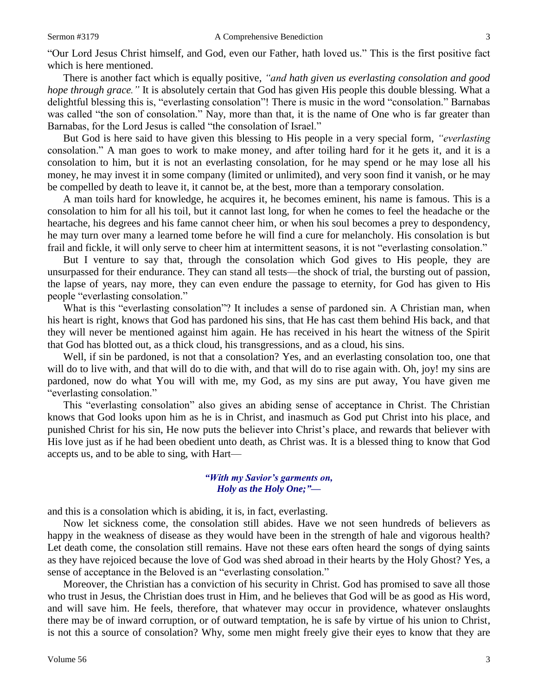"Our Lord Jesus Christ himself, and God, even our Father, hath loved us." This is the first positive fact which is here mentioned.

There is another fact which is equally positive, *"and hath given us everlasting consolation and good hope through grace.*" It is absolutely certain that God has given His people this double blessing. What a delightful blessing this is, "everlasting consolation"! There is music in the word "consolation." Barnabas was called "the son of consolation." Nay, more than that, it is the name of One who is far greater than Barnabas, for the Lord Jesus is called "the consolation of Israel."

But God is here said to have given this blessing to His people in a very special form, *"everlasting*  consolation." A man goes to work to make money, and after toiling hard for it he gets it, and it is a consolation to him, but it is not an everlasting consolation, for he may spend or he may lose all his money, he may invest it in some company (limited or unlimited), and very soon find it vanish, or he may be compelled by death to leave it, it cannot be, at the best, more than a temporary consolation.

A man toils hard for knowledge, he acquires it, he becomes eminent, his name is famous. This is a consolation to him for all his toil, but it cannot last long, for when he comes to feel the headache or the heartache, his degrees and his fame cannot cheer him, or when his soul becomes a prey to despondency, he may turn over many a learned tome before he will find a cure for melancholy. His consolation is but frail and fickle, it will only serve to cheer him at intermittent seasons, it is not "everlasting consolation."

But I venture to say that, through the consolation which God gives to His people, they are unsurpassed for their endurance. They can stand all tests—the shock of trial, the bursting out of passion, the lapse of years, nay more, they can even endure the passage to eternity, for God has given to His people "everlasting consolation."

What is this "everlasting consolation"? It includes a sense of pardoned sin. A Christian man, when his heart is right, knows that God has pardoned his sins, that He has cast them behind His back, and that they will never be mentioned against him again. He has received in his heart the witness of the Spirit that God has blotted out, as a thick cloud, his transgressions, and as a cloud, his sins.

Well, if sin be pardoned, is not that a consolation? Yes, and an everlasting consolation too, one that will do to live with, and that will do to die with, and that will do to rise again with. Oh, joy! my sins are pardoned, now do what You will with me, my God, as my sins are put away, You have given me "everlasting consolation."

This "everlasting consolation" also gives an abiding sense of acceptance in Christ. The Christian knows that God looks upon him as he is in Christ, and inasmuch as God put Christ into his place, and punished Christ for his sin, He now puts the believer into Christ's place, and rewards that believer with His love just as if he had been obedient unto death, as Christ was. It is a blessed thing to know that God accepts us, and to be able to sing, with Hart—

### *"With my Savior's garments on, Holy as the Holy One;"—*

and this is a consolation which is abiding, it is, in fact, everlasting.

Now let sickness come, the consolation still abides. Have we not seen hundreds of believers as happy in the weakness of disease as they would have been in the strength of hale and vigorous health? Let death come, the consolation still remains. Have not these ears often heard the songs of dying saints as they have rejoiced because the love of God was shed abroad in their hearts by the Holy Ghost? Yes, a sense of acceptance in the Beloved is an "everlasting consolation."

Moreover, the Christian has a conviction of his security in Christ. God has promised to save all those who trust in Jesus, the Christian does trust in Him, and he believes that God will be as good as His word, and will save him. He feels, therefore, that whatever may occur in providence, whatever onslaughts there may be of inward corruption, or of outward temptation, he is safe by virtue of his union to Christ, is not this a source of consolation? Why, some men might freely give their eyes to know that they are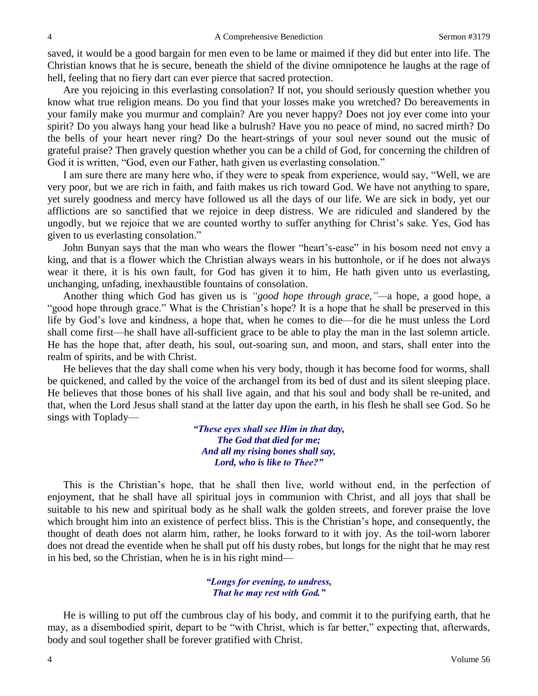saved, it would be a good bargain for men even to be lame or maimed if they did but enter into life. The Christian knows that he is secure, beneath the shield of the divine omnipotence he laughs at the rage of hell, feeling that no fiery dart can ever pierce that sacred protection.

Are you rejoicing in this everlasting consolation? If not, you should seriously question whether you know what true religion means. Do you find that your losses make you wretched? Do bereavements in your family make you murmur and complain? Are you never happy? Does not joy ever come into your spirit? Do you always hang your head like a bulrush? Have you no peace of mind, no sacred mirth? Do the bells of your heart never ring? Do the heart-strings of your soul never sound out the music of grateful praise? Then gravely question whether you can be a child of God, for concerning the children of God it is written, "God, even our Father, hath given us everlasting consolation."

I am sure there are many here who, if they were to speak from experience, would say, "Well, we are very poor, but we are rich in faith, and faith makes us rich toward God. We have not anything to spare, yet surely goodness and mercy have followed us all the days of our life. We are sick in body, yet our afflictions are so sanctified that we rejoice in deep distress. We are ridiculed and slandered by the ungodly, but we rejoice that we are counted worthy to suffer anything for Christ's sake. Yes, God has given to us everlasting consolation."

John Bunyan says that the man who wears the flower "heart's-ease" in his bosom need not envy a king, and that is a flower which the Christian always wears in his buttonhole, or if he does not always wear it there, it is his own fault, for God has given it to him, He hath given unto us everlasting, unchanging, unfading, inexhaustible fountains of consolation.

Another thing which God has given us is *"good hope through grace,"—*a hope, a good hope, a "good hope through grace." What is the Christian's hope? It is a hope that he shall be preserved in this life by God's love and kindness, a hope that, when he comes to die—for die he must unless the Lord shall come first—he shall have all-sufficient grace to be able to play the man in the last solemn article. He has the hope that, after death, his soul, out-soaring sun, and moon, and stars, shall enter into the realm of spirits, and be with Christ.

He believes that the day shall come when his very body, though it has become food for worms, shall be quickened, and called by the voice of the archangel from its bed of dust and its silent sleeping place. He believes that those bones of his shall live again, and that his soul and body shall be re-united, and that, when the Lord Jesus shall stand at the latter day upon the earth, in his flesh he shall see God. So he sings with Toplady—

> *"These eyes shall see Him in that day, The God that died for me; And all my rising bones shall say, Lord, who is like to Thee?"*

This is the Christian's hope, that he shall then live, world without end, in the perfection of enjoyment, that he shall have all spiritual joys in communion with Christ, and all joys that shall be suitable to his new and spiritual body as he shall walk the golden streets, and forever praise the love which brought him into an existence of perfect bliss. This is the Christian's hope, and consequently, the thought of death does not alarm him, rather, he looks forward to it with joy. As the toil-worn laborer does not dread the eventide when he shall put off his dusty robes, but longs for the night that he may rest in his bed, so the Christian, when he is in his right mind—

#### *"Longs for evening, to undress, That he may rest with God."*

He is willing to put off the cumbrous clay of his body, and commit it to the purifying earth, that he may, as a disembodied spirit, depart to be "with Christ, which is far better," expecting that, afterwards, body and soul together shall be forever gratified with Christ.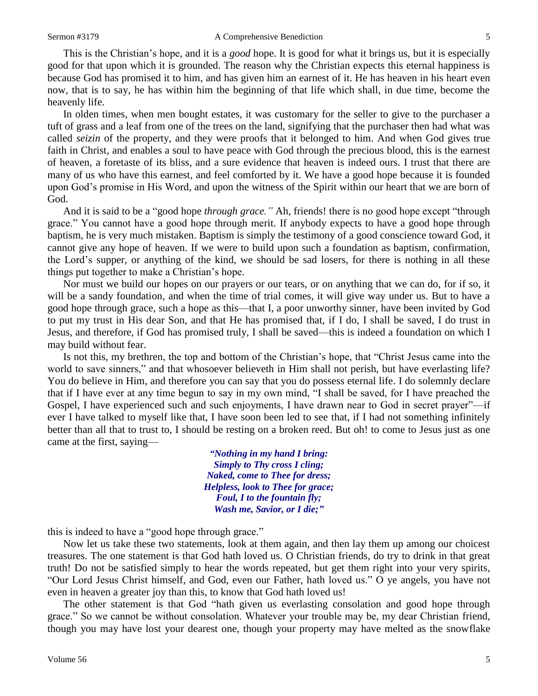This is the Christian's hope, and it is a *good* hope. It is good for what it brings us, but it is especially good for that upon which it is grounded. The reason why the Christian expects this eternal happiness is because God has promised it to him, and has given him an earnest of it. He has heaven in his heart even now, that is to say, he has within him the beginning of that life which shall, in due time, become the heavenly life.

In olden times, when men bought estates, it was customary for the seller to give to the purchaser a tuft of grass and a leaf from one of the trees on the land, signifying that the purchaser then had what was called *seizin* of the property, and they were proofs that it belonged to him. And when God gives true faith in Christ, and enables a soul to have peace with God through the precious blood, this is the earnest of heaven, a foretaste of its bliss, and a sure evidence that heaven is indeed ours. I trust that there are many of us who have this earnest, and feel comforted by it. We have a good hope because it is founded upon God's promise in His Word, and upon the witness of the Spirit within our heart that we are born of God.

And it is said to be a "good hope *through grace."* Ah, friends! there is no good hope except "through grace." You cannot have a good hope through merit. If anybody expects to have a good hope through baptism, he is very much mistaken. Baptism is simply the testimony of a good conscience toward God, it cannot give any hope of heaven. If we were to build upon such a foundation as baptism, confirmation, the Lord's supper, or anything of the kind, we should be sad losers, for there is nothing in all these things put together to make a Christian's hope.

Nor must we build our hopes on our prayers or our tears, or on anything that we can do, for if so, it will be a sandy foundation, and when the time of trial comes, it will give way under us. But to have a good hope through grace, such a hope as this—that I, a poor unworthy sinner, have been invited by God to put my trust in His dear Son, and that He has promised that, if I do, I shall be saved, I do trust in Jesus, and therefore, if God has promised truly, I shall be saved—this is indeed a foundation on which I may build without fear.

Is not this, my brethren, the top and bottom of the Christian's hope, that "Christ Jesus came into the world to save sinners," and that whosoever believeth in Him shall not perish, but have everlasting life? You do believe in Him, and therefore you can say that you do possess eternal life. I do solemnly declare that if I have ever at any time begun to say in my own mind, "I shall be saved, for I have preached the Gospel, I have experienced such and such enjoyments, I have drawn near to God in secret prayer"—if ever I have talked to myself like that, I have soon been led to see that, if I had not something infinitely better than all that to trust to, I should be resting on a broken reed. But oh! to come to Jesus just as one came at the first, saying—

> *"Nothing in my hand I bring: Simply to Thy cross I cling; Naked, come to Thee for dress; Helpless, look to Thee for grace; Foul, I to the fountain fly; Wash me, Savior, or I die;"*

this is indeed to have a "good hope through grace."

Now let us take these two statements, look at them again, and then lay them up among our choicest treasures. The one statement is that God hath loved us. O Christian friends, do try to drink in that great truth! Do not be satisfied simply to hear the words repeated, but get them right into your very spirits, "Our Lord Jesus Christ himself, and God, even our Father, hath loved us." O ye angels, you have not even in heaven a greater joy than this, to know that God hath loved us!

The other statement is that God "hath given us everlasting consolation and good hope through grace." So we cannot be without consolation. Whatever your trouble may be, my dear Christian friend, though you may have lost your dearest one, though your property may have melted as the snowflake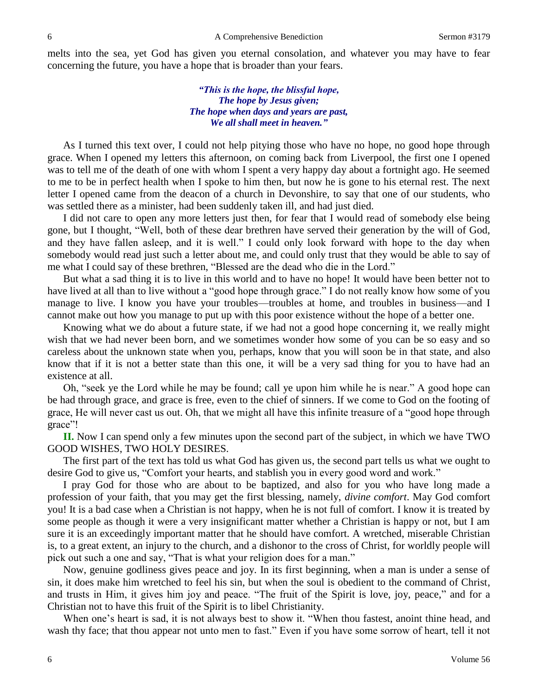melts into the sea, yet God has given you eternal consolation, and whatever you may have to fear concerning the future, you have a hope that is broader than your fears.

> *"This is the hope, the blissful hope, The hope by Jesus given; The hope when days and years are past, We all shall meet in heaven."*

As I turned this text over, I could not help pitying those who have no hope, no good hope through grace. When I opened my letters this afternoon, on coming back from Liverpool, the first one I opened was to tell me of the death of one with whom I spent a very happy day about a fortnight ago. He seemed to me to be in perfect health when I spoke to him then, but now he is gone to his eternal rest. The next letter I opened came from the deacon of a church in Devonshire, to say that one of our students, who was settled there as a minister, had been suddenly taken ill, and had just died.

I did not care to open any more letters just then, for fear that I would read of somebody else being gone, but I thought, "Well, both of these dear brethren have served their generation by the will of God, and they have fallen asleep, and it is well." I could only look forward with hope to the day when somebody would read just such a letter about me, and could only trust that they would be able to say of me what I could say of these brethren, "Blessed are the dead who die in the Lord."

But what a sad thing it is to live in this world and to have no hope! It would have been better not to have lived at all than to live without a "good hope through grace." I do not really know how some of you manage to live. I know you have your troubles—troubles at home, and troubles in business—and I cannot make out how you manage to put up with this poor existence without the hope of a better one.

Knowing what we do about a future state, if we had not a good hope concerning it, we really might wish that we had never been born, and we sometimes wonder how some of you can be so easy and so careless about the unknown state when you, perhaps, know that you will soon be in that state, and also know that if it is not a better state than this one, it will be a very sad thing for you to have had an existence at all.

Oh, "seek ye the Lord while he may be found; call ye upon him while he is near." A good hope can be had through grace, and grace is free, even to the chief of sinners. If we come to God on the footing of grace, He will never cast us out. Oh, that we might all have this infinite treasure of a "good hope through grace"!

**II.** Now I can spend only a few minutes upon the second part of the subject, in which we have TWO GOOD WISHES, TWO HOLY DESIRES.

The first part of the text has told us what God has given us, the second part tells us what we ought to desire God to give us, "Comfort your hearts, and stablish you in every good word and work."

I pray God for those who are about to be baptized, and also for you who have long made a profession of your faith, that you may get the first blessing, namely, *divine comfort*. May God comfort you! It is a bad case when a Christian is not happy, when he is not full of comfort. I know it is treated by some people as though it were a very insignificant matter whether a Christian is happy or not, but I am sure it is an exceedingly important matter that he should have comfort. A wretched, miserable Christian is, to a great extent, an injury to the church, and a dishonor to the cross of Christ, for worldly people will pick out such a one and say, "That is what your religion does for a man."

Now, genuine godliness gives peace and joy. In its first beginning, when a man is under a sense of sin, it does make him wretched to feel his sin, but when the soul is obedient to the command of Christ, and trusts in Him, it gives him joy and peace. "The fruit of the Spirit is love, joy, peace," and for a Christian not to have this fruit of the Spirit is to libel Christianity.

When one's heart is sad, it is not always best to show it. "When thou fastest, anoint thine head, and wash thy face; that thou appear not unto men to fast." Even if you have some sorrow of heart, tell it not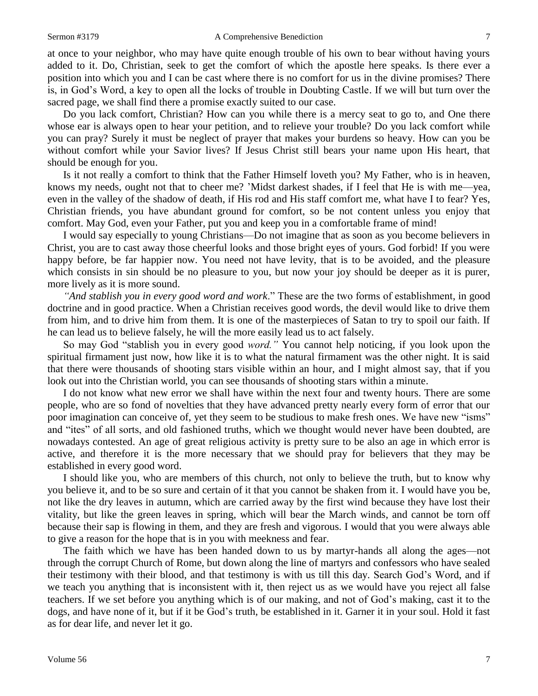at once to your neighbor, who may have quite enough trouble of his own to bear without having yours added to it. Do, Christian, seek to get the comfort of which the apostle here speaks. Is there ever a position into which you and I can be cast where there is no comfort for us in the divine promises? There is, in God's Word, a key to open all the locks of trouble in Doubting Castle. If we will but turn over the sacred page, we shall find there a promise exactly suited to our case.

Do you lack comfort, Christian? How can you while there is a mercy seat to go to, and One there whose ear is always open to hear your petition, and to relieve your trouble? Do you lack comfort while you can pray? Surely it must be neglect of prayer that makes your burdens so heavy. How can you be without comfort while your Savior lives? If Jesus Christ still bears your name upon His heart, that should be enough for you.

Is it not really a comfort to think that the Father Himself loveth you? My Father, who is in heaven, knows my needs, ought not that to cheer me? 'Midst darkest shades, if I feel that He is with me—yea, even in the valley of the shadow of death, if His rod and His staff comfort me, what have I to fear? Yes, Christian friends, you have abundant ground for comfort, so be not content unless you enjoy that comfort. May God, even your Father, put you and keep you in a comfortable frame of mind!

I would say especially to young Christians—Do not imagine that as soon as you become believers in Christ, you are to cast away those cheerful looks and those bright eyes of yours. God forbid! If you were happy before, be far happier now. You need not have levity, that is to be avoided, and the pleasure which consists in sin should be no pleasure to you, but now your joy should be deeper as it is purer, more lively as it is more sound.

*"And stablish you in every good word and work*." These are the two forms of establishment, in good doctrine and in good practice. When a Christian receives good words, the devil would like to drive them from him, and to drive him from them. It is one of the masterpieces of Satan to try to spoil our faith. If he can lead us to believe falsely, he will the more easily lead us to act falsely.

So may God "stablish you in every good *word."* You cannot help noticing, if you look upon the spiritual firmament just now, how like it is to what the natural firmament was the other night. It is said that there were thousands of shooting stars visible within an hour, and I might almost say, that if you look out into the Christian world, you can see thousands of shooting stars within a minute.

I do not know what new error we shall have within the next four and twenty hours. There are some people, who are so fond of novelties that they have advanced pretty nearly every form of error that our poor imagination can conceive of, yet they seem to be studious to make fresh ones. We have new "isms" and "ites" of all sorts, and old fashioned truths, which we thought would never have been doubted, are nowadays contested. An age of great religious activity is pretty sure to be also an age in which error is active, and therefore it is the more necessary that we should pray for believers that they may be established in every good word.

I should like you, who are members of this church, not only to believe the truth, but to know why you believe it, and to be so sure and certain of it that you cannot be shaken from it. I would have you be, not like the dry leaves in autumn, which are carried away by the first wind because they have lost their vitality, but like the green leaves in spring, which will bear the March winds, and cannot be torn off because their sap is flowing in them, and they are fresh and vigorous. I would that you were always able to give a reason for the hope that is in you with meekness and fear.

The faith which we have has been handed down to us by martyr-hands all along the ages—not through the corrupt Church of Rome, but down along the line of martyrs and confessors who have sealed their testimony with their blood, and that testimony is with us till this day. Search God's Word, and if we teach you anything that is inconsistent with it, then reject us as we would have you reject all false teachers. If we set before you anything which is of our making, and not of God's making, cast it to the dogs, and have none of it, but if it be God's truth, be established in it. Garner it in your soul. Hold it fast as for dear life, and never let it go.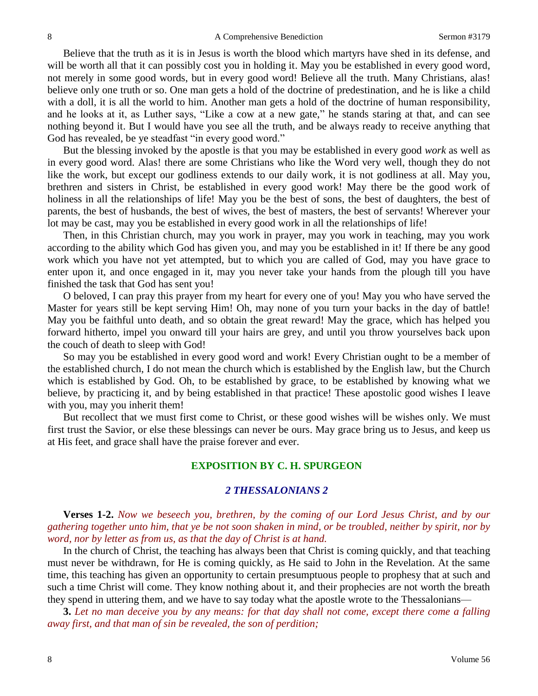Believe that the truth as it is in Jesus is worth the blood which martyrs have shed in its defense, and will be worth all that it can possibly cost you in holding it. May you be established in every good word, not merely in some good words, but in every good word! Believe all the truth. Many Christians, alas! believe only one truth or so. One man gets a hold of the doctrine of predestination, and he is like a child with a doll, it is all the world to him. Another man gets a hold of the doctrine of human responsibility, and he looks at it, as Luther says, "Like a cow at a new gate," he stands staring at that, and can see nothing beyond it. But I would have you see all the truth, and be always ready to receive anything that God has revealed, be ye steadfast "in every good word."

But the blessing invoked by the apostle is that you may be established in every good *work* as well as in every good word. Alas! there are some Christians who like the Word very well, though they do not like the work, but except our godliness extends to our daily work, it is not godliness at all. May you, brethren and sisters in Christ, be established in every good work! May there be the good work of holiness in all the relationships of life! May you be the best of sons, the best of daughters, the best of parents, the best of husbands, the best of wives, the best of masters, the best of servants! Wherever your lot may be cast, may you be established in every good work in all the relationships of life!

Then, in this Christian church, may you work in prayer, may you work in teaching, may you work according to the ability which God has given you, and may you be established in it! If there be any good work which you have not yet attempted, but to which you are called of God, may you have grace to enter upon it, and once engaged in it, may you never take your hands from the plough till you have finished the task that God has sent you!

O beloved, I can pray this prayer from my heart for every one of you! May you who have served the Master for years still be kept serving Him! Oh, may none of you turn your backs in the day of battle! May you be faithful unto death, and so obtain the great reward! May the grace, which has helped you forward hitherto, impel you onward till your hairs are grey, and until you throw yourselves back upon the couch of death to sleep with God!

So may you be established in every good word and work! Every Christian ought to be a member of the established church, I do not mean the church which is established by the English law, but the Church which is established by God. Oh, to be established by grace, to be established by knowing what we believe, by practicing it, and by being established in that practice! These apostolic good wishes I leave with you, may you inherit them!

But recollect that we must first come to Christ, or these good wishes will be wishes only. We must first trust the Savior, or else these blessings can never be ours. May grace bring us to Jesus, and keep us at His feet, and grace shall have the praise forever and ever.

## **EXPOSITION BY C. H. SPURGEON**

## *2 THESSALONIANS 2*

**Verses 1-2.** *Now we beseech you, brethren, by the coming of our Lord Jesus Christ, and by our gathering together unto him, that ye be not soon shaken in mind, or be troubled, neither by spirit, nor by word, nor by letter as from us, as that the day of Christ is at hand.*

In the church of Christ, the teaching has always been that Christ is coming quickly, and that teaching must never be withdrawn, for He is coming quickly, as He said to John in the Revelation. At the same time, this teaching has given an opportunity to certain presumptuous people to prophesy that at such and such a time Christ will come. They know nothing about it, and their prophecies are not worth the breath they spend in uttering them, and we have to say today what the apostle wrote to the Thessalonians—

**3.** *Let no man deceive you by any means: for that day shall not come, except there come a falling away first, and that man of sin be revealed, the son of perdition;*